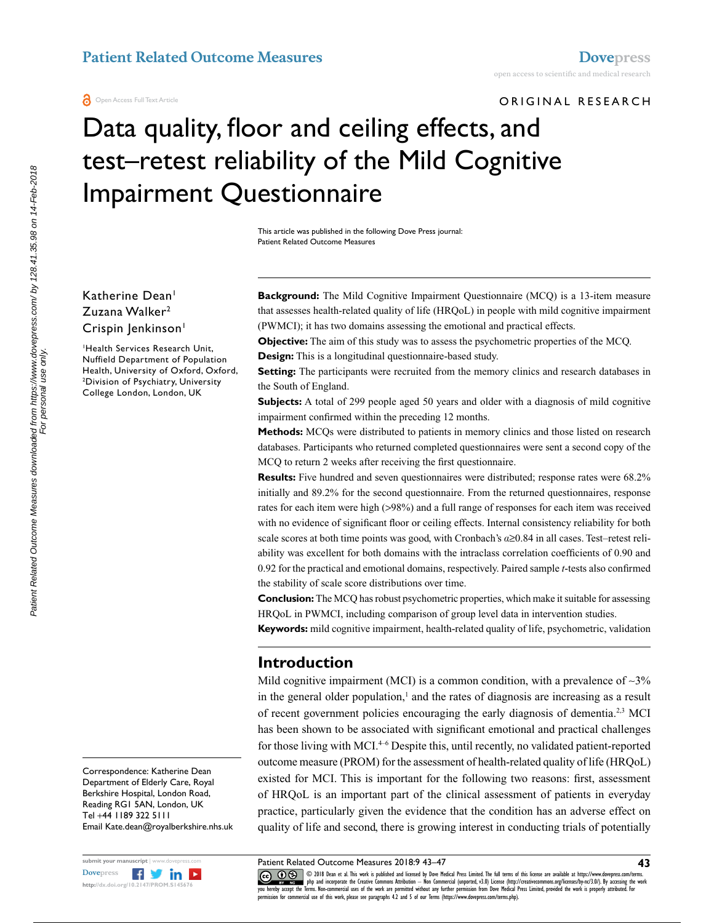ORIGINAL RESEARCH

# Data quality, floor and ceiling effects, and test–retest reliability of the Mild Cognitive Impairment Questionnaire

This article was published in the following Dove Press journal: Patient Related Outcome Measures

Katherine Dean<sup>1</sup> Zuzana Walker2 Crispin Jenkinson<sup>1</sup>

1 Health Services Research Unit, Nuffield Department of Population Health, University of Oxford, Oxford, 2 Division of Psychiatry, University College London, London, UK

**Background:** The Mild Cognitive Impairment Questionnaire (MCQ) is a 13-item measure that assesses health-related quality of life (HRQoL) in people with mild cognitive impairment (PWMCI); it has two domains assessing the emotional and practical effects.

**Objective:** The aim of this study was to assess the psychometric properties of the MCQ. **Design:** This is a longitudinal questionnaire-based study.

**Setting:** The participants were recruited from the memory clinics and research databases in the South of England.

**Subjects:** A total of 299 people aged 50 years and older with a diagnosis of mild cognitive impairment confirmed within the preceding 12 months.

**Methods:** MCQs were distributed to patients in memory clinics and those listed on research databases. Participants who returned completed questionnaires were sent a second copy of the MCQ to return 2 weeks after receiving the first questionnaire.

**Results:** Five hundred and seven questionnaires were distributed; response rates were 68.2% initially and 89.2% for the second questionnaire. From the returned questionnaires, response rates for each item were high (>98%) and a full range of responses for each item was received with no evidence of significant floor or ceiling effects. Internal consistency reliability for both scale scores at both time points was good, with Cronbach's *a*≥0.84 in all cases. Test–retest reliability was excellent for both domains with the intraclass correlation coefficients of 0.90 and 0.92 for the practical and emotional domains, respectively. Paired sample *t*-tests also confirmed the stability of scale score distributions over time.

**Conclusion:** The MCQ has robust psychometric properties, which make it suitable for assessing HRQoL in PWMCI, including comparison of group level data in intervention studies.

**Keywords:** mild cognitive impairment, health-related quality of life, psychometric, validation

### **Introduction**

Mild cognitive impairment (MCI) is a common condition, with a prevalence of  $\sim$ 3% in the general older population, $<sup>1</sup>$  and the rates of diagnosis are increasing as a result</sup> of recent government policies encouraging the early diagnosis of dementia.2,3 MCI has been shown to be associated with significant emotional and practical challenges for those living with MCI.<sup>4-6</sup> Despite this, until recently, no validated patient-reported outcome measure (PROM) for the assessment of health-related quality of life (HRQoL) existed for MCI. This is important for the following two reasons: first, assessment of HRQoL is an important part of the clinical assessment of patients in everyday practice, particularly given the evidence that the condition has an adverse effect on quality of life and second, there is growing interest in conducting trials of potentially

Correspondence: Katherine Dean Department of Elderly Care, Royal Berkshire Hospital, London Road, Reading RG1 5AN, London, UK Tel +44 1189 322 5111 Email Kate.dean@royalberkshire.nhs.uk



CO 18 Dean et al. This work is published and licensed by Dove Medical Press Limited. The full terms of this license are available at https://www.dovepress.com/terms.<br>You hereby accept the Terms. Non-commercial uses of the permission for commercial use of this work, please see paragraphs 4.2 and 5 of our Terms (https://www.dovepress.com/terms.php).

**43**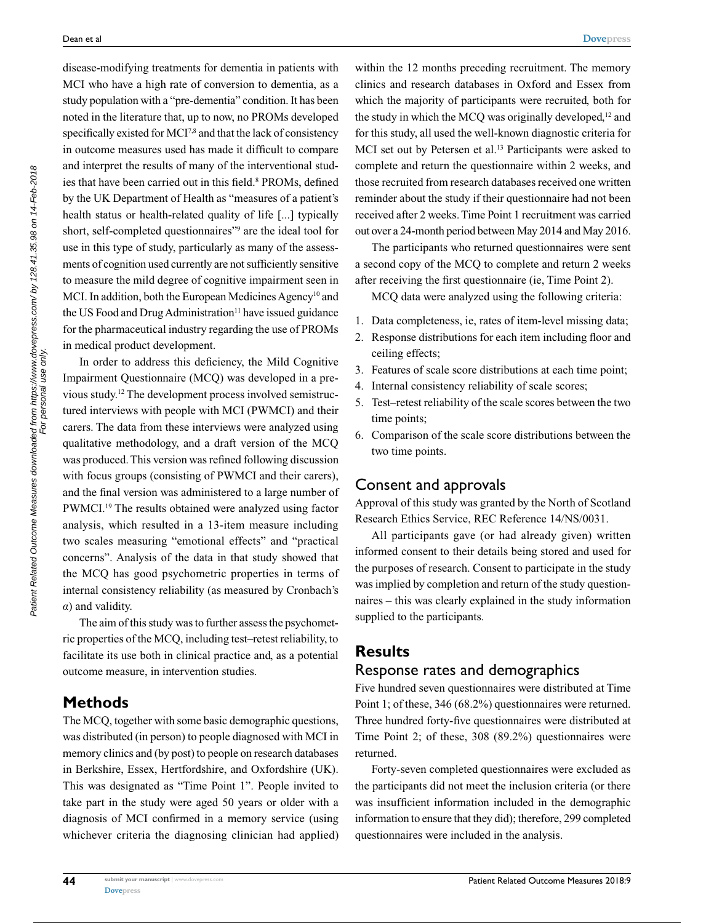disease-modifying treatments for dementia in patients with MCI who have a high rate of conversion to dementia, as a study population with a "pre-dementia" condition. It has been noted in the literature that, up to now, no PROMs developed specifically existed for MCI<sup>7,8</sup> and that the lack of consistency in outcome measures used has made it difficult to compare and interpret the results of many of the interventional studies that have been carried out in this field.<sup>8</sup> PROMs, defined by the UK Department of Health as "measures of a patient's health status or health-related quality of life [...] typically short, self-completed questionnaires"<sup>9</sup> are the ideal tool for use in this type of study, particularly as many of the assessments of cognition used currently are not sufficiently sensitive to measure the mild degree of cognitive impairment seen in MCI. In addition, both the European Medicines Agency<sup>10</sup> and the US Food and Drug Administration<sup>11</sup> have issued guidance for the pharmaceutical industry regarding the use of PROMs in medical product development.

In order to address this deficiency, the Mild Cognitive Impairment Questionnaire (MCQ) was developed in a previous study.12 The development process involved semistructured interviews with people with MCI (PWMCI) and their carers. The data from these interviews were analyzed using qualitative methodology, and a draft version of the MCQ was produced. This version was refined following discussion with focus groups (consisting of PWMCI and their carers), and the final version was administered to a large number of PWMCI.<sup>19</sup> The results obtained were analyzed using factor analysis, which resulted in a 13-item measure including two scales measuring "emotional effects" and "practical concerns". Analysis of the data in that study showed that the MCQ has good psychometric properties in terms of internal consistency reliability (as measured by Cronbach's *a*) and validity.

The aim of this study was to further assess the psychometric properties of the MCQ, including test–retest reliability, to facilitate its use both in clinical practice and, as a potential outcome measure, in intervention studies.

### **Methods**

**44**

The MCQ, together with some basic demographic questions, was distributed (in person) to people diagnosed with MCI in memory clinics and (by post) to people on research databases in Berkshire, Essex, Hertfordshire, and Oxfordshire (UK). This was designated as "Time Point 1". People invited to take part in the study were aged 50 years or older with a diagnosis of MCI confirmed in a memory service (using whichever criteria the diagnosing clinician had applied)

within the 12 months preceding recruitment. The memory clinics and research databases in Oxford and Essex from which the majority of participants were recruited, both for the study in which the MCO was originally developed,<sup>12</sup> and for this study, all used the well-known diagnostic criteria for MCI set out by Petersen et al.<sup>13</sup> Participants were asked to complete and return the questionnaire within 2 weeks, and those recruited from research databases received one written reminder about the study if their questionnaire had not been received after 2 weeks. Time Point 1 recruitment was carried out over a 24-month period between May 2014 and May 2016.

The participants who returned questionnaires were sent a second copy of the MCQ to complete and return 2 weeks after receiving the first questionnaire (ie, Time Point 2).

MCQ data were analyzed using the following criteria:

- 1. Data completeness, ie, rates of item-level missing data;
- 2. Response distributions for each item including floor and ceiling effects;
- 3. Features of scale score distributions at each time point;
- 4. Internal consistency reliability of scale scores;
- 5. Test–retest reliability of the scale scores between the two time points;
- 6. Comparison of the scale score distributions between the two time points.

### Consent and approvals

Approval of this study was granted by the North of Scotland Research Ethics Service, REC Reference 14/NS/0031.

All participants gave (or had already given) written informed consent to their details being stored and used for the purposes of research. Consent to participate in the study was implied by completion and return of the study questionnaires – this was clearly explained in the study information supplied to the participants.

### **Results**

#### Response rates and demographics

Five hundred seven questionnaires were distributed at Time Point 1; of these, 346 (68.2%) questionnaires were returned. Three hundred forty-five questionnaires were distributed at Time Point 2; of these, 308 (89.2%) questionnaires were returned.

Forty-seven completed questionnaires were excluded as the participants did not meet the inclusion criteria (or there was insufficient information included in the demographic information to ensure that they did); therefore, 299 completed questionnaires were included in the analysis.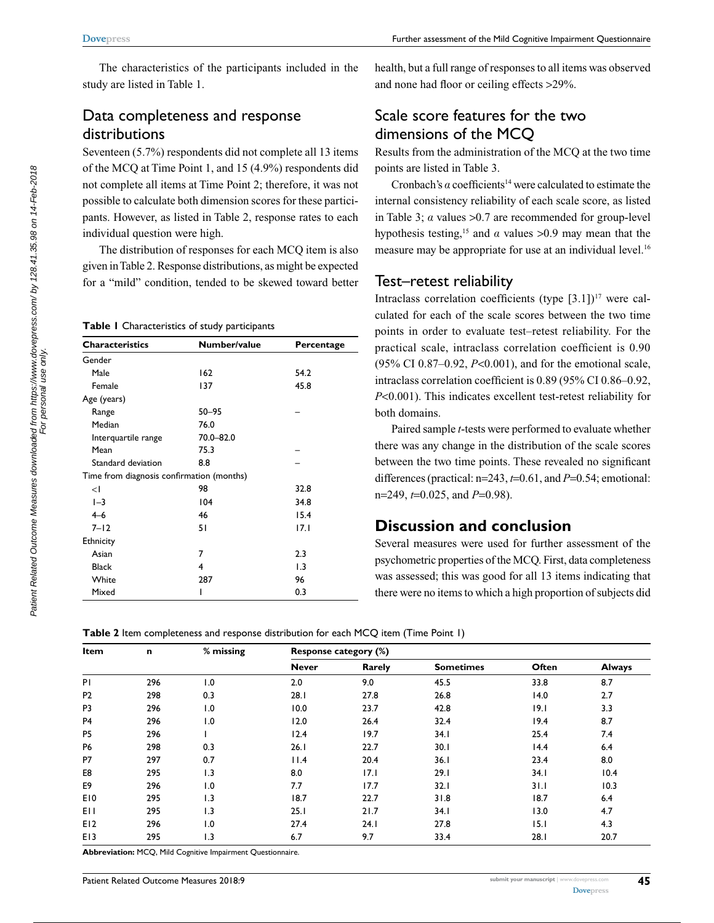The characteristics of the participants included in the study are listed in Table 1.

### Data completeness and response distributions

Seventeen (5.7%) respondents did not complete all 13 items of the MCQ at Time Point 1, and 15 (4.9%) respondents did not complete all items at Time Point 2; therefore, it was not possible to calculate both dimension scores for these participants. However, as listed in Table 2, response rates to each individual question were high.

The distribution of responses for each MCQ item is also given in Table 2. Response distributions, as might be expected for a "mild" condition, tended to be skewed toward better

**Table 1** Characteristics of study participants

| <b>Characteristics</b>                    | Number/value | Percentage |  |  |  |  |
|-------------------------------------------|--------------|------------|--|--|--|--|
| Gender                                    |              |            |  |  |  |  |
| Male                                      | 162          | 54.2       |  |  |  |  |
| Female                                    | 137          | 45.8       |  |  |  |  |
| Age (years)                               |              |            |  |  |  |  |
| Range                                     | 50-95        |            |  |  |  |  |
| Median                                    | 76.0         |            |  |  |  |  |
| Interquartile range                       | 70.0-82.0    |            |  |  |  |  |
| Mean                                      | 75.3         |            |  |  |  |  |
| Standard deviation                        | 8.8          |            |  |  |  |  |
| Time from diagnosis confirmation (months) |              |            |  |  |  |  |
| $\leq$                                    | 98           | 32.8       |  |  |  |  |
| $-3$                                      | 104          | 34.8       |  |  |  |  |
| $4 - 6$                                   | 46           | 15.4       |  |  |  |  |
| $7 - 12$                                  | 51           | 17.1       |  |  |  |  |
| Ethnicity                                 |              |            |  |  |  |  |
| Asian                                     | 7            | 2.3        |  |  |  |  |
| <b>Black</b>                              | 4            | 1.3        |  |  |  |  |
| White                                     | 287          | 96         |  |  |  |  |
| Mixed                                     |              | 0.3        |  |  |  |  |

health, but a full range of responses to all items was observed and none had floor or ceiling effects >29%.

## Scale score features for the two dimensions of the MCQ

Results from the administration of the MCQ at the two time points are listed in Table 3.

Cronbach's  $a$  coefficients<sup>14</sup> were calculated to estimate the internal consistency reliability of each scale score, as listed in Table 3; *a* values >0.7 are recommended for group-level hypothesis testing,<sup>15</sup> and  $\alpha$  values >0.9 may mean that the measure may be appropriate for use at an individual level.<sup>16</sup>

### Test–retest reliability

Intraclass correlation coefficients (type  $[3.1]$ )<sup>17</sup> were calculated for each of the scale scores between the two time points in order to evaluate test–retest reliability. For the practical scale, intraclass correlation coefficient is 0.90 (95% CI 0.87–0.92, *P*<0.001), and for the emotional scale, intraclass correlation coefficient is 0.89 (95% CI 0.86–0.92, *P*<0.001). This indicates excellent test-retest reliability for both domains.

Paired sample *t*-tests were performed to evaluate whether there was any change in the distribution of the scale scores between the two time points. These revealed no significant differences (practical: n=243, *t*=0.61, and *P*=0.54; emotional: n=249, *t*=0.025, and *P*=0.98).

### **Discussion and conclusion**

Several measures were used for further assessment of the psychometric properties of the MCQ. First, data completeness was assessed; this was good for all 13 items indicating that there were no items to which a high proportion of subjects did

**Table 2** Item completeness and response distribution for each MCQ item (Time Point 1)

| Item            | n   | $%$ missing | Response category (%) |        |                  |       |               |
|-----------------|-----|-------------|-----------------------|--------|------------------|-------|---------------|
|                 |     |             | <b>Never</b>          | Rarely | <b>Sometimes</b> | Often | <b>Always</b> |
| PI              | 296 | 1.0         | 2.0                   | 9.0    | 45.5             | 33.8  | 8.7           |
| P <sub>2</sub>  | 298 | 0.3         | 28.1                  | 27.8   | 26.8             | 14.0  | 2.7           |
| P <sub>3</sub>  | 296 | 1.0         | 10.0                  | 23.7   | 42.8             | 9.1   | 3.3           |
| P <sub>4</sub>  | 296 | 1.0         | 12.0                  | 26.4   | 32.4             | 19.4  | 8.7           |
| P <sub>5</sub>  | 296 |             | 12.4                  | 19.7   | 34.1             | 25.4  | 7.4           |
| <b>P6</b>       | 298 | 0.3         | 26.1                  | 22.7   | 30.1             | 14.4  | 6.4           |
| P7              | 297 | 0.7         | 11.4                  | 20.4   | 36.1             | 23.4  | 8.0           |
| E8              | 295 | 1.3         | 8.0                   | 17.1   | 29.1             | 34.1  | 10.4          |
| E9              | 296 | 1.0         | 7.7                   | 17.7   | 32.1             | 31.1  | 10.3          |
| E <sub>10</sub> | 295 | 1.3         | 18.7                  | 22.7   | 31.8             | 18.7  | 6.4           |
| EH              | 295 | 1.3         | 25.1                  | 21.7   | 34.1             | 13.0  | 4.7           |
| E12             | 296 | 1.0         | 27.4                  | 24.1   | 27.8             | 15.1  | 4.3           |
| E <sub>13</sub> | 295 | 1.3         | 6.7                   | 9.7    | 33.4             | 28.1  | 20.7          |

**Abbreviation:** MCQ, Mild Cognitive Impairment Questionnaire.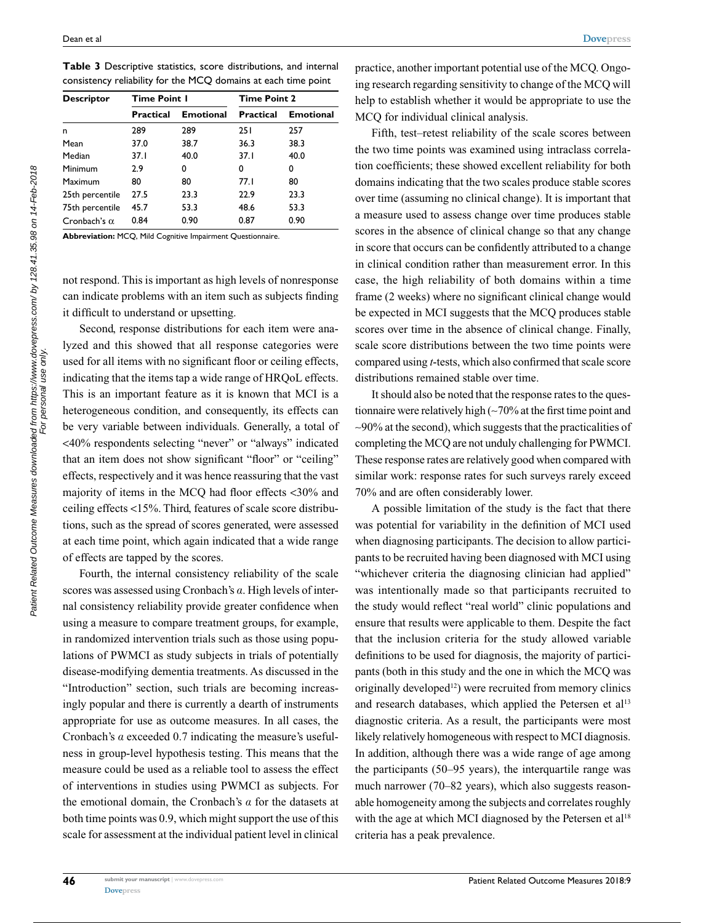Patient Related Outcome Measures downloaded from https://www.dovepress.com/ by 128.41.35.98 on 14-Feb-2018<br>Patient Related Outcome Measures downloaded from personal use only. Patient Related Outcome Measures downloaded from https://www.dovepress.com/ by 128.41.35.98 on 14-Feb-2018 For personal use only.

| Descriptor          | <b>Time Point I</b> |                  | <b>Time Point 2</b> |                  |  |
|---------------------|---------------------|------------------|---------------------|------------------|--|
|                     | Practical           | <b>Emotional</b> | <b>Practical</b>    | <b>Emotional</b> |  |
| n                   | 289                 | 289              | 251                 | 257              |  |
| Mean                | 37.0                | 38.7             | 36.3                | 38.3             |  |
| Median              | 37.I                | 40.0             | 37.1                | 40.0             |  |
| Minimum             | 2.9                 | 0                | 0                   | 0                |  |
| Maximum             | 80                  | 80               | 77.I                | 80               |  |
| 25th percentile     | 27.5                | 23.3             | 22.9                | 23.3             |  |
| 75th percentile     | 45.7                | 53.3             | 48.6                | 53.3             |  |
| Cronbach's $\alpha$ | 0.84                | 0.90             | 0.87                | 0.90             |  |

**Table 3** Descriptive statistics, score distributions, and internal consistency reliability for the MCQ domains at each time point

**Abbreviation:** MCQ, Mild Cognitive Impairment Questionnaire.

not respond. This is important as high levels of nonresponse can indicate problems with an item such as subjects finding it difficult to understand or upsetting.

Second, response distributions for each item were analyzed and this showed that all response categories were used for all items with no significant floor or ceiling effects, indicating that the items tap a wide range of HRQoL effects. This is an important feature as it is known that MCI is a heterogeneous condition, and consequently, its effects can be very variable between individuals. Generally, a total of <40% respondents selecting "never" or "always" indicated that an item does not show significant "floor" or "ceiling" effects, respectively and it was hence reassuring that the vast majority of items in the MCQ had floor effects <30% and ceiling effects <15%. Third, features of scale score distributions, such as the spread of scores generated, were assessed at each time point, which again indicated that a wide range of effects are tapped by the scores.

Fourth, the internal consistency reliability of the scale scores was assessed using Cronbach's *a*. High levels of internal consistency reliability provide greater confidence when using a measure to compare treatment groups, for example, in randomized intervention trials such as those using populations of PWMCI as study subjects in trials of potentially disease-modifying dementia treatments. As discussed in the "Introduction" section, such trials are becoming increasingly popular and there is currently a dearth of instruments appropriate for use as outcome measures. In all cases, the Cronbach's *a* exceeded 0.7 indicating the measure's usefulness in group-level hypothesis testing. This means that the measure could be used as a reliable tool to assess the effect of interventions in studies using PWMCI as subjects. For the emotional domain, the Cronbach's *a* for the datasets at both time points was 0.9, which might support the use of this scale for assessment at the individual patient level in clinical

**46**

practice, another important potential use of the MCQ. Ongoing research regarding sensitivity to change of the MCQ will help to establish whether it would be appropriate to use the MCQ for individual clinical analysis.

Fifth, test–retest reliability of the scale scores between the two time points was examined using intraclass correlation coefficients; these showed excellent reliability for both domains indicating that the two scales produce stable scores over time (assuming no clinical change). It is important that a measure used to assess change over time produces stable scores in the absence of clinical change so that any change in score that occurs can be confidently attributed to a change in clinical condition rather than measurement error. In this case, the high reliability of both domains within a time frame (2 weeks) where no significant clinical change would be expected in MCI suggests that the MCQ produces stable scores over time in the absence of clinical change. Finally, scale score distributions between the two time points were compared using *t*-tests, which also confirmed that scale score distributions remained stable over time.

It should also be noted that the response rates to the questionnaire were relatively high (~70% at the first time point and ~90% at the second), which suggests that the practicalities of completing the MCQ are not unduly challenging for PWMCI. These response rates are relatively good when compared with similar work: response rates for such surveys rarely exceed 70% and are often considerably lower.

A possible limitation of the study is the fact that there was potential for variability in the definition of MCI used when diagnosing participants. The decision to allow participants to be recruited having been diagnosed with MCI using "whichever criteria the diagnosing clinician had applied" was intentionally made so that participants recruited to the study would reflect "real world" clinic populations and ensure that results were applicable to them. Despite the fact that the inclusion criteria for the study allowed variable definitions to be used for diagnosis, the majority of participants (both in this study and the one in which the MCQ was originally developed<sup>12</sup>) were recruited from memory clinics and research databases, which applied the Petersen et al<sup>13</sup> diagnostic criteria. As a result, the participants were most likely relatively homogeneous with respect to MCI diagnosis. In addition, although there was a wide range of age among the participants (50–95 years), the interquartile range was much narrower (70–82 years), which also suggests reasonable homogeneity among the subjects and correlates roughly with the age at which MCI diagnosed by the Petersen et al<sup>18</sup> criteria has a peak prevalence.